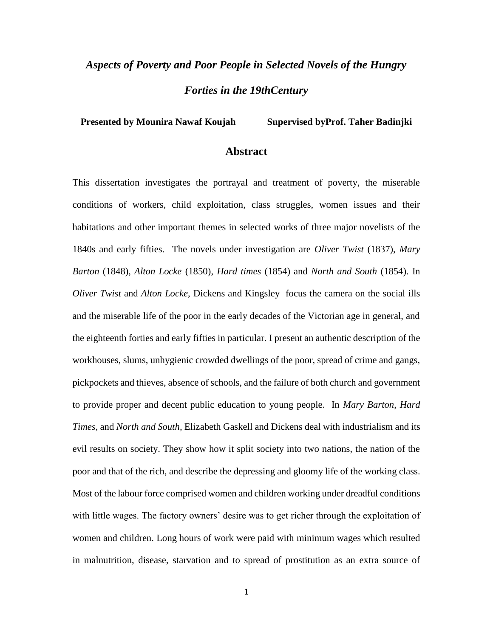## *Aspects of Poverty and Poor People in Selected Novels of the Hungry Forties in the 19thCentury*

**Presented by Mounira Nawaf Koujah Supervised byProf. Taher Badinjki**

## **Abstract**

This dissertation investigates the portrayal and treatment of poverty, the miserable conditions of workers, child exploitation, class struggles, women issues and their habitations and other important themes in selected works of three major novelists of the 1840s and early fifties. The novels under investigation are *Oliver Twist* (1837), *Mary Barton* (1848), *Alton Locke* (1850), *Hard times* (1854) and *North and South* (1854). In *Oliver Twist* and *Alton Locke*, Dickens and Kingsley focus the camera on the social ills and the miserable life of the poor in the early decades of the Victorian age in general, and the eighteenth forties and early fifties in particular. I present an authentic description of the workhouses, slums, unhygienic crowded dwellings of the poor, spread of crime and gangs, pickpockets and thieves, absence of schools, and the failure of both church and government to provide proper and decent public education to young people. In *Mary Barton*, *Hard Times*, and *North and South,* Elizabeth Gaskell and Dickens deal with industrialism and its evil results on society. They show how it split society into two nations, the nation of the poor and that of the rich, and describe the depressing and gloomy life of the working class. Most of the labour force comprised women and children working under dreadful conditions with little wages. The factory owners' desire was to get richer through the exploitation of women and children. Long hours of work were paid with minimum wages which resulted in malnutrition, disease, starvation and to spread of prostitution as an extra source of